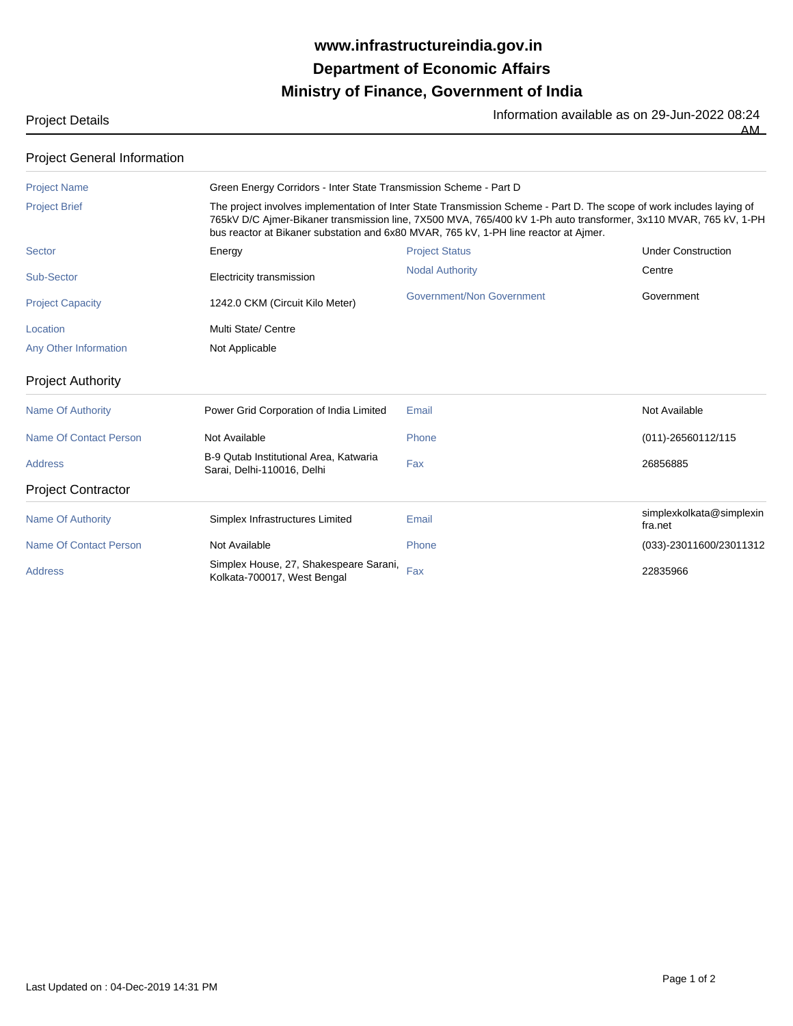## **Ministry of Finance, Government of India Department of Economic Affairs www.infrastructureindia.gov.in**

Project Details Information available as on 29-Jun-2022 08:24 AM

| <b>Project General Information</b> |                                                                                                                                                                                                                                                                                                                                                                                                        |                           |                                     |  |
|------------------------------------|--------------------------------------------------------------------------------------------------------------------------------------------------------------------------------------------------------------------------------------------------------------------------------------------------------------------------------------------------------------------------------------------------------|---------------------------|-------------------------------------|--|
| <b>Project Name</b>                | Green Energy Corridors - Inter State Transmission Scheme - Part D<br>The project involves implementation of Inter State Transmission Scheme - Part D. The scope of work includes laying of<br>765kV D/C Ajmer-Bikaner transmission line, 7X500 MVA, 765/400 kV 1-Ph auto transformer, 3x110 MVAR, 765 kV, 1-PH<br>bus reactor at Bikaner substation and 6x80 MVAR, 765 kV, 1-PH line reactor at Ajmer. |                           |                                     |  |
| <b>Project Brief</b>               |                                                                                                                                                                                                                                                                                                                                                                                                        |                           |                                     |  |
| <b>Sector</b>                      | Energy                                                                                                                                                                                                                                                                                                                                                                                                 | <b>Project Status</b>     | <b>Under Construction</b>           |  |
| Sub-Sector                         | Electricity transmission                                                                                                                                                                                                                                                                                                                                                                               | <b>Nodal Authority</b>    | Centre                              |  |
| <b>Project Capacity</b>            | 1242.0 CKM (Circuit Kilo Meter)                                                                                                                                                                                                                                                                                                                                                                        | Government/Non Government | Government                          |  |
| Location                           | Multi State/ Centre                                                                                                                                                                                                                                                                                                                                                                                    |                           |                                     |  |
| <b>Any Other Information</b>       | Not Applicable                                                                                                                                                                                                                                                                                                                                                                                         |                           |                                     |  |
| <b>Project Authority</b>           |                                                                                                                                                                                                                                                                                                                                                                                                        |                           |                                     |  |
| <b>Name Of Authority</b>           | Power Grid Corporation of India Limited                                                                                                                                                                                                                                                                                                                                                                | Email                     | Not Available                       |  |
| Name Of Contact Person             | Not Available                                                                                                                                                                                                                                                                                                                                                                                          | Phone                     | (011)-26560112/115                  |  |
| <b>Address</b>                     | B-9 Qutab Institutional Area, Katwaria<br>Sarai, Delhi-110016, Delhi                                                                                                                                                                                                                                                                                                                                   | Fax                       | 26856885                            |  |
| <b>Project Contractor</b>          |                                                                                                                                                                                                                                                                                                                                                                                                        |                           |                                     |  |
| <b>Name Of Authority</b>           | Simplex Infrastructures Limited                                                                                                                                                                                                                                                                                                                                                                        | Email                     | simplexkolkata@simplexin<br>fra.net |  |
| <b>Name Of Contact Person</b>      | Not Available                                                                                                                                                                                                                                                                                                                                                                                          | Phone                     | (033)-23011600/23011312             |  |
| <b>Address</b>                     | Simplex House, 27, Shakespeare Sarani,<br>Kolkata-700017, West Bengal                                                                                                                                                                                                                                                                                                                                  | Fax                       | 22835966                            |  |